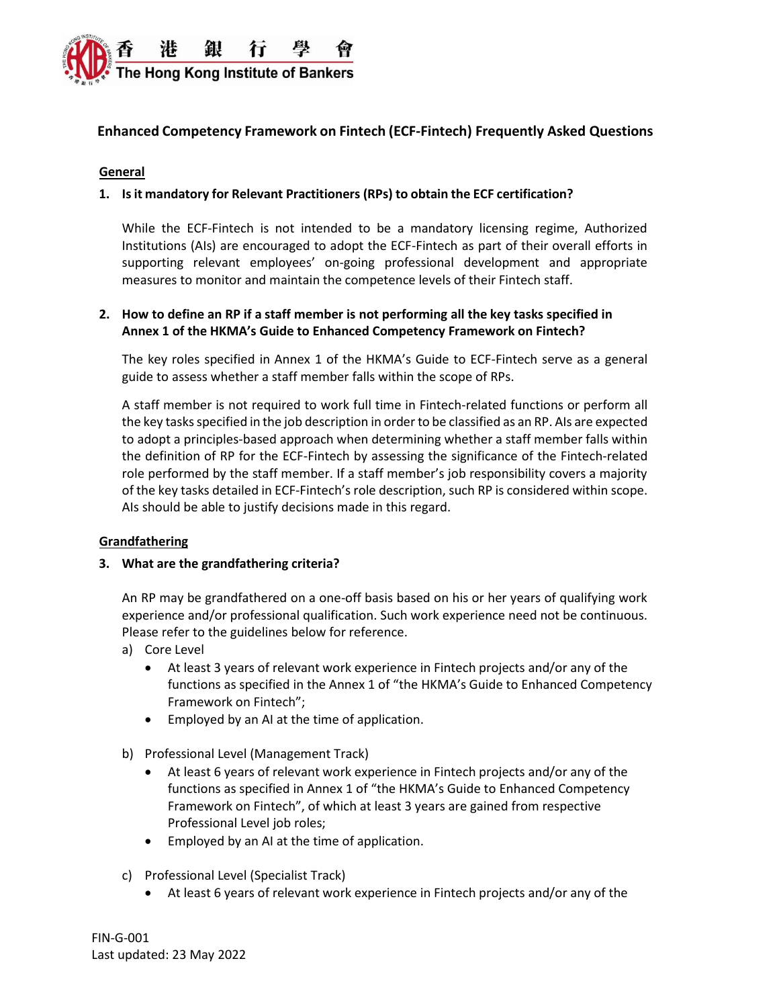

# **Enhanced Competency Framework on Fintech (ECF-Fintech) Frequently Asked Questions**

#### **General**

### **1. Isit mandatory for Relevant Practitioners (RPs) to obtain the ECF certification?**

While the ECF-Fintech is not intended to be a mandatory licensing regime, Authorized Institutions (AIs) are encouraged to adopt the ECF-Fintech as part of their overall efforts in supporting relevant employees' on-going professional development and appropriate measures to monitor and maintain the competence levels of their Fintech staff.

### **2. How to define an RP if a staff member is not performing all the key tasks specified in Annex 1 of the HKMA's Guide to Enhanced Competency Framework on Fintech?**

The key roles specified in Annex 1 of the HKMA's Guide to ECF-Fintech serve as a general guide to assess whether a staff member falls within the scope of RPs.

A staff member is not required to work full time in Fintech-related functions or perform all the key tasks specified in the job description in order to be classified as an RP. AIs are expected to adopt a principles-based approach when determining whether a staff member falls within the definition of RP for the ECF-Fintech by assessing the significance of the Fintech-related role performed by the staff member. If a staff member's job responsibility covers a majority of the key tasks detailed in ECF-Fintech's role description, such RP is considered within scope. AIs should be able to justify decisions made in this regard.

### **Grandfathering**

### **3. What are the grandfathering criteria?**

An RP may be grandfathered on a one-off basis based on his or her years of qualifying work experience and/or professional qualification. Such work experience need not be continuous. Please refer to the guidelines below for reference.

- a) Core Level
	- At least 3 years of relevant work experience in Fintech projects and/or any of the functions as specified in the Annex 1 of "the HKMA's Guide to Enhanced Competency Framework on Fintech";
	- Employed by an AI at the time of application.
- b) Professional Level (Management Track)
	- At least 6 years of relevant work experience in Fintech projects and/or any of the functions as specified in Annex 1 of "the HKMA's Guide to Enhanced Competency Framework on Fintech", of which at least 3 years are gained from respective Professional Level job roles;
	- Employed by an AI at the time of application.
- c) Professional Level (Specialist Track)
	- At least 6 years of relevant work experience in Fintech projects and/or any of the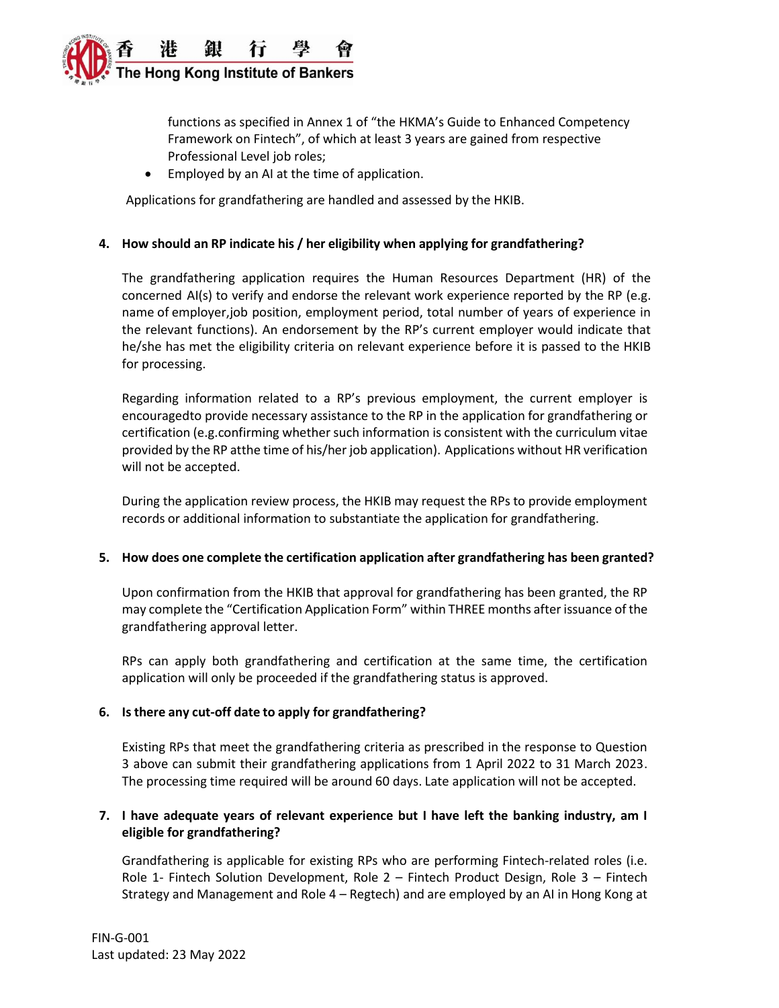

functions as specified in Annex 1 of "the HKMA's Guide to Enhanced Competency Framework on Fintech", of which at least 3 years are gained from respective Professional Level job roles;

• Employed by an AI at the time of application.

Applications for grandfathering are handled and assessed by the HKIB.

### **4. How should an RP indicate his / her eligibility when applying for grandfathering?**

The grandfathering application requires the Human Resources Department (HR) of the concerned AI(s) to verify and endorse the relevant work experience reported by the RP (e.g. name of employer,job position, employment period, total number of years of experience in the relevant functions). An endorsement by the RP's current employer would indicate that he/she has met the eligibility criteria on relevant experience before it is passed to the HKIB for processing.

Regarding information related to a RP's previous employment, the current employer is encouragedto provide necessary assistance to the RP in the application for grandfathering or certification (e.g.confirming whether such information is consistent with the curriculum vitae provided by the RP atthe time of his/her job application). Applications without HR verification will not be accepted.

During the application review process, the HKIB may request the RPs to provide employment records or additional information to substantiate the application for grandfathering.

### **5. How does one complete the certification application after grandfathering has been granted?**

Upon confirmation from the HKIB that approval for grandfathering has been granted, the RP may complete the "Certification Application Form" within THREE months after issuance ofthe grandfathering approval letter.

RPs can apply both grandfathering and certification at the same time, the certification application will only be proceeded if the grandfathering status is approved.

### **6. Isthere any cut-off date to apply for grandfathering?**

Existing RPs that meet the grandfathering criteria as prescribed in the response to Question 3 above can submit their grandfathering applications from 1 April 2022 to 31 March 2023. The processing time required will be around 60 days. Late application will not be accepted.

## **7. I have adequate years of relevant experience but I have left the banking industry, am I eligible for grandfathering?**

Grandfathering is applicable for existing RPs who are performing Fintech-related roles (i.e. Role 1- Fintech Solution Development, Role 2 – Fintech Product Design, Role 3 – Fintech Strategy and Management and Role 4 – Regtech) and are employed by an AI in Hong Kong at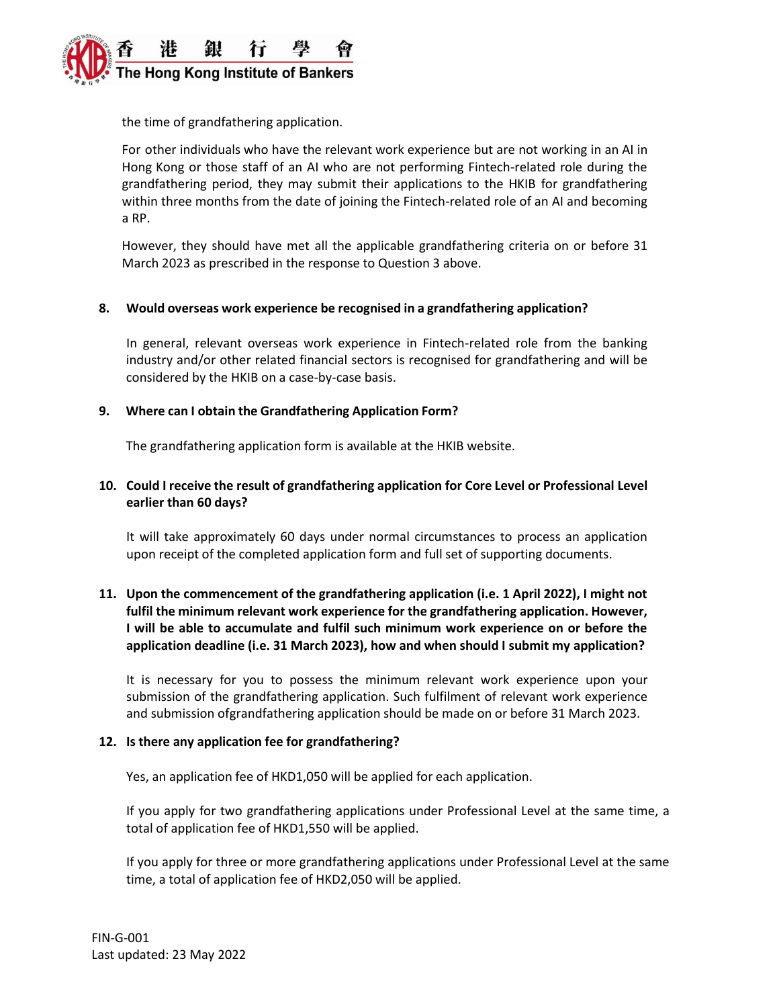

the time of grandfathering application.

For other individuals who have the relevant work experience but are not working in an AI in Hong Kong or those staff of an AI who are not performing Fintech-related role during the grandfathering period, they may submit their applications to the HKIB for grandfathering within three months from the date of joining the Fintech-related role of an AI and becoming a RP.

However, they should have met all the applicable grandfathering criteria on or before 31 March 2023 as prescribed in the response to Question 3 above.

#### **8. Would overseas work experience be recognised in a grandfathering application?**

In general, relevant overseas work experience in Fintech-related role from the banking industry and/or other related financial sectors is recognised for grandfathering and will be considered by the HKIB on a case-by-case basis.

#### **9. Where can I obtain the Grandfathering Application Form?**

The grandfathering application form is available at the HKIB website.

### **10. Could I receive the result of grandfathering application for Core Level or Professional Level earlier than 60 days?**

It will take approximately 60 days under normal circumstances to process an application upon receipt of the completed application form and full set of supporting documents.

## **11. Upon the commencement of the grandfathering application (i.e. 1 April 2022), I might not fulfil the minimum relevant work experience for the grandfathering application. However, I will be able to accumulate and fulfil such minimum work experience on or before the application deadline (i.e. 31 March 2023), how and when should I submit my application?**

It is necessary for you to possess the minimum relevant work experience upon your submission of the grandfathering application. Such fulfilment of relevant work experience and submission ofgrandfathering application should be made on or before 31 March 2023.

#### **12. Is there any application fee for grandfathering?**

Yes, an application fee of HKD1,050 will be applied for each application.

If you apply for two grandfathering applications under Professional Level at the same time, a total of application fee of HKD1,550 will be applied.

If you apply for three or more grandfathering applications under Professional Level at the same time, a total of application fee of HKD2,050 will be applied.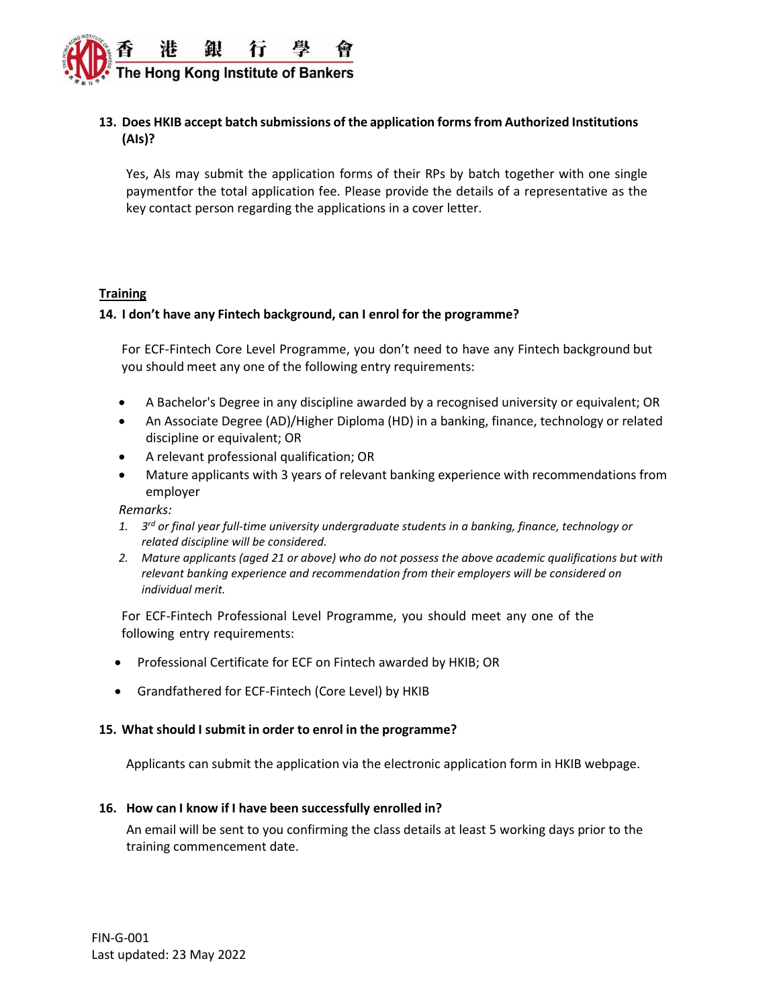

# **13. Does HKIB accept batch submissions of the application formsfrom Authorized Institutions (AIs)?**

Yes, AIs may submit the application forms of their RPs by batch together with one single paymentfor the total application fee. Please provide the details of a representative as the key contact person regarding the applications in a cover letter.

#### **Training**

### **14. I don't have any Fintech background, can I enrol for the programme?**

For ECF-Fintech Core Level Programme, you don't need to have any Fintech background but you should meet any one of the following entry requirements:

- A Bachelor's Degree in any discipline awarded by a recognised university or equivalent; OR
- An Associate Degree (AD)/Higher Diploma (HD) in a banking, finance, technology or related discipline or equivalent; OR
- A relevant professional qualification; OR
- Mature applicants with 3 years of relevant banking experience with recommendations from employer

*Remarks:* 

- *1. 3 rd or final year full-time university undergraduate students in a banking, finance, technology or related discipline will be considered.*
- *2. Mature applicants (aged 21 or above) who do not possess the above academic qualifications but with relevant banking experience and recommendation from their employers will be considered on individual merit.*

For ECF-Fintech Professional Level Programme, you should meet any one of the following entry requirements:

- Professional Certificate for ECF on Fintech awarded by HKIB; OR
- Grandfathered for ECF-Fintech (Core Level) by HKIB

### **15. What should I submit in order to enrol in the programme?**

Applicants can submit the application via the electronic application form in HKIB webpage.

### **16. How can I know if I have been successfully enrolled in?**

An email will be sent to you confirming the class details at least 5 working days prior to the training commencement date.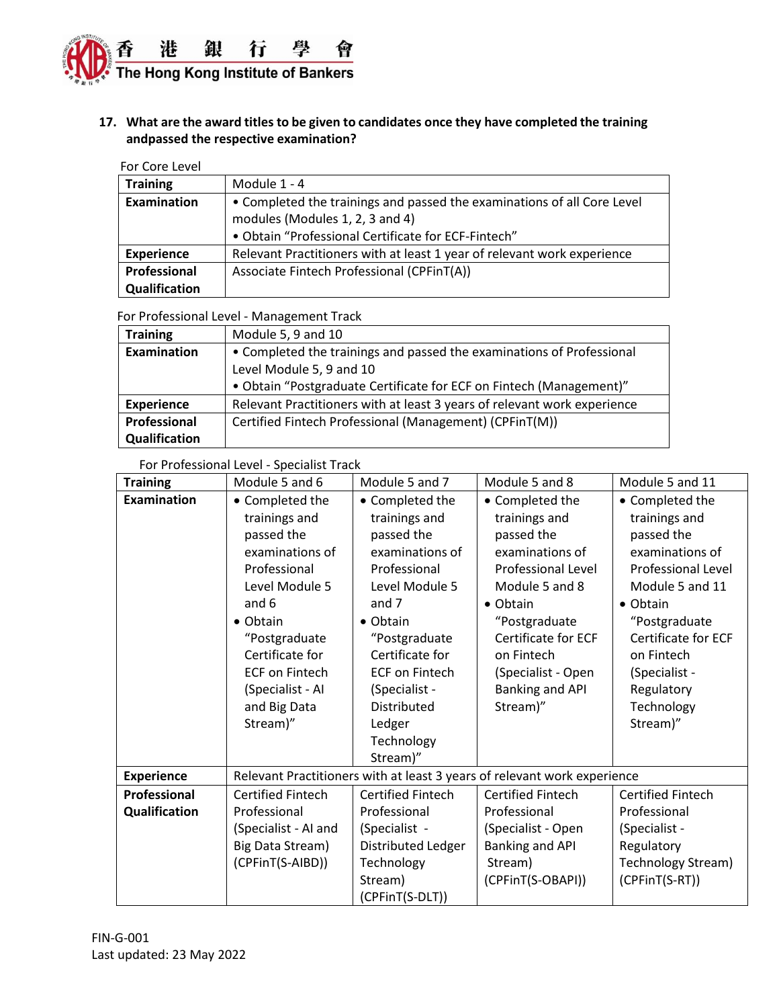

# **17. What are the award titles to be given to candidates once they have completed the training andpassed the respective examination?**

| For Core Level    |                                                                                                                                                                   |
|-------------------|-------------------------------------------------------------------------------------------------------------------------------------------------------------------|
| <b>Training</b>   | Module 1 - 4                                                                                                                                                      |
| Examination       | • Completed the trainings and passed the examinations of all Core Level<br>modules (Modules 1, 2, 3 and 4)<br>• Obtain "Professional Certificate for ECF-Fintech" |
| <b>Experience</b> | Relevant Practitioners with at least 1 year of relevant work experience                                                                                           |
| Professional      | Associate Fintech Professional (CPFinT(A))                                                                                                                        |
| Qualification     |                                                                                                                                                                   |

#### For Professional Level - Management Track

| <b>Training</b>    | Module 5, 9 and 10                                                       |  |  |  |
|--------------------|--------------------------------------------------------------------------|--|--|--|
| <b>Examination</b> | • Completed the trainings and passed the examinations of Professional    |  |  |  |
|                    | Level Module 5, 9 and 10                                                 |  |  |  |
|                    | • Obtain "Postgraduate Certificate for ECF on Fintech (Management)"      |  |  |  |
| <b>Experience</b>  | Relevant Practitioners with at least 3 years of relevant work experience |  |  |  |
| Professional       | Certified Fintech Professional (Management) (CPFinT(M))                  |  |  |  |
| Qualification      |                                                                          |  |  |  |

### For Professional Level - Specialist Track

| <b>Training</b>    | Module 5 and 6                                                                                                                                                                                                                                | Module 5 and 7                                                                                                                                                                                                                                                    | Module 5 and 8                                                                                                                                                                                                                           | Module 5 and 11                                                                                                                                                                                                                               |  |
|--------------------|-----------------------------------------------------------------------------------------------------------------------------------------------------------------------------------------------------------------------------------------------|-------------------------------------------------------------------------------------------------------------------------------------------------------------------------------------------------------------------------------------------------------------------|------------------------------------------------------------------------------------------------------------------------------------------------------------------------------------------------------------------------------------------|-----------------------------------------------------------------------------------------------------------------------------------------------------------------------------------------------------------------------------------------------|--|
| <b>Examination</b> | • Completed the<br>trainings and<br>passed the<br>examinations of<br>Professional<br>Level Module 5<br>and 6<br>$\bullet$ Obtain<br>"Postgraduate<br>Certificate for<br><b>ECF on Fintech</b><br>(Specialist - Al<br>and Big Data<br>Stream)" | • Completed the<br>trainings and<br>passed the<br>examinations of<br>Professional<br>Level Module 5<br>and 7<br>$\bullet$ Obtain<br>"Postgraduate<br>Certificate for<br><b>ECF on Fintech</b><br>(Specialist -<br>Distributed<br>Ledger<br>Technology<br>Stream)" | • Completed the<br>trainings and<br>passed the<br>examinations of<br>Professional Level<br>Module 5 and 8<br>$\bullet$ Obtain<br>"Postgraduate<br>Certificate for ECF<br>on Fintech<br>(Specialist - Open<br>Banking and API<br>Stream)" | • Completed the<br>trainings and<br>passed the<br>examinations of<br>Professional Level<br>Module 5 and 11<br>$\bullet$ Obtain<br>"Postgraduate<br>Certificate for ECF<br>on Fintech<br>(Specialist -<br>Regulatory<br>Technology<br>Stream)" |  |
| <b>Experience</b>  | Relevant Practitioners with at least 3 years of relevant work experience                                                                                                                                                                      |                                                                                                                                                                                                                                                                   |                                                                                                                                                                                                                                          |                                                                                                                                                                                                                                               |  |
| Professional       | <b>Certified Fintech</b>                                                                                                                                                                                                                      | <b>Certified Fintech</b>                                                                                                                                                                                                                                          | <b>Certified Fintech</b>                                                                                                                                                                                                                 | <b>Certified Fintech</b>                                                                                                                                                                                                                      |  |
| Qualification      | Professional                                                                                                                                                                                                                                  | Professional                                                                                                                                                                                                                                                      | Professional                                                                                                                                                                                                                             | Professional                                                                                                                                                                                                                                  |  |
|                    | (Specialist - AI and                                                                                                                                                                                                                          | (Specialist -                                                                                                                                                                                                                                                     | (Specialist - Open                                                                                                                                                                                                                       | (Specialist -                                                                                                                                                                                                                                 |  |
|                    | Big Data Stream)                                                                                                                                                                                                                              | Distributed Ledger                                                                                                                                                                                                                                                | Banking and API                                                                                                                                                                                                                          | Regulatory                                                                                                                                                                                                                                    |  |
|                    | (CPFinT(S-AIBD))                                                                                                                                                                                                                              | Technology                                                                                                                                                                                                                                                        | Stream)                                                                                                                                                                                                                                  | <b>Technology Stream)</b>                                                                                                                                                                                                                     |  |
|                    |                                                                                                                                                                                                                                               | Stream)                                                                                                                                                                                                                                                           | (CPFinT(S-OBAPI))                                                                                                                                                                                                                        | (CPFinT(S-RT))                                                                                                                                                                                                                                |  |
|                    |                                                                                                                                                                                                                                               | (CPFinT(S-DLT))                                                                                                                                                                                                                                                   |                                                                                                                                                                                                                                          |                                                                                                                                                                                                                                               |  |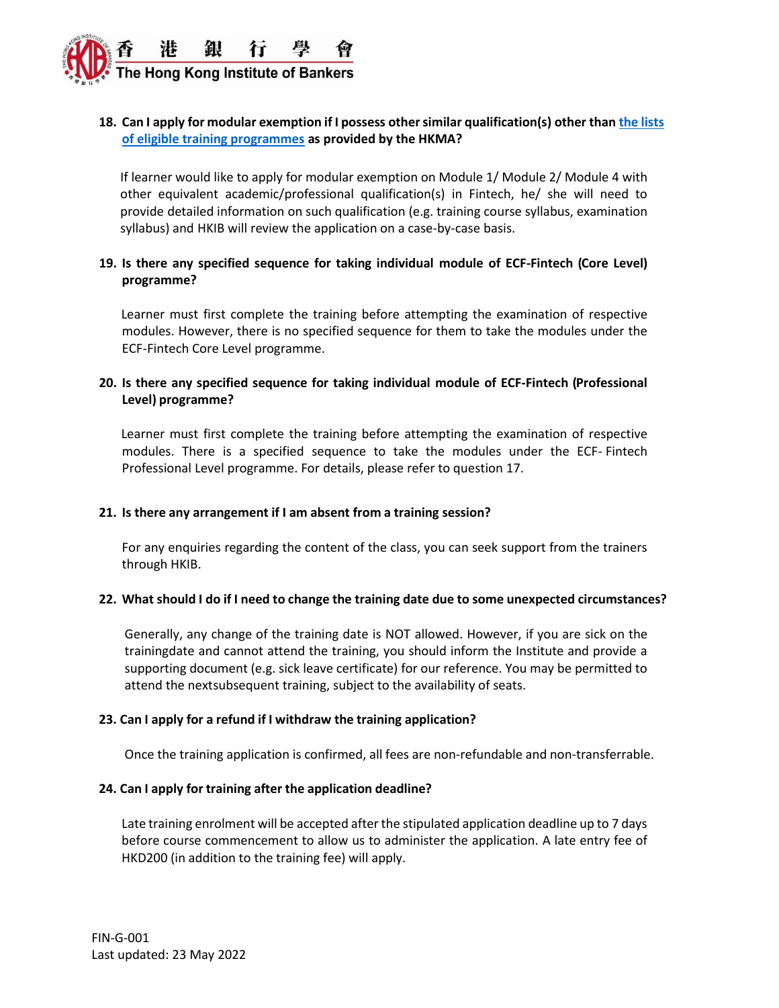

# **18. Can I apply for modular exemption if I possess othersimilar qualification(s) other tha[n the lists](https://www.hkma.gov.hk/media/eng/doc/key-functions/banking-stability/ECF_on_Fintech_Modular_Exemption.pdf)  [of eligible training programmes](https://www.hkma.gov.hk/media/eng/doc/key-functions/banking-stability/ECF_on_Fintech_Modular_Exemption.pdf) as provided by the HKMA?**

If learner would like to apply for modular exemption on Module 1/ Module 2/ Module 4 with other equivalent academic/professional qualification(s) in Fintech, he/ she will need to provide detailed information on such qualification (e.g. training course syllabus, examination syllabus) and HKIB will review the application on a case-by-case basis.

## **19. Is there any specified sequence for taking individual module of ECF-Fintech (Core Level) programme?**

 Learner must first complete the training before attempting the examination of respective modules. However, there is no specified sequence for them to take the modules under the ECF-Fintech Core Level programme.

## **20. Is there any specified sequence for taking individual module of ECF-Fintech (Professional Level) programme?**

 Learner must first complete the training before attempting the examination of respective modules. There is a specified sequence to take the modules under the ECF- Fintech Professional Level programme. For details, please refer to question 17.

### **21. Is there any arrangement if I am absent from a training session?**

For any enquiries regarding the content of the class, you can seek support from the trainers through HKIB.

### **22. What should I do if I need to change the training date due to some unexpected circumstances?**

Generally, any change of the training date is NOT allowed. However, if you are sick on the trainingdate and cannot attend the training, you should inform the Institute and provide a supporting document (e.g. sick leave certificate) for our reference. You may be permitted to attend the nextsubsequent training, subject to the availability of seats.

### **23. Can I apply for a refund if I withdraw the training application?**

Once the training application is confirmed, all fees are non-refundable and non-transferrable.

### **24. Can I apply for training after the application deadline?**

Late training enrolment will be accepted after the stipulated application deadline up to 7 days before course commencement to allow us to administer the application. A late entry fee of HKD200 (in addition to the training fee) will apply.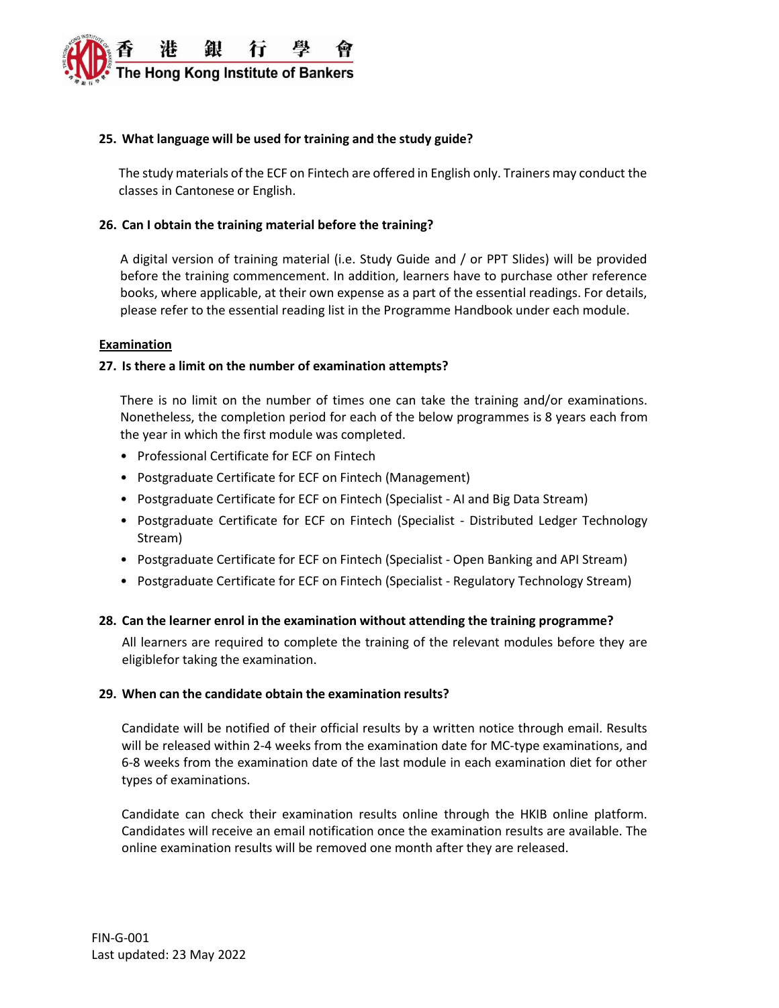

#### **25. What language will be used for training and the study guide?**

The study materials of the ECF on Fintech are offered in English only. Trainers may conduct the classes in Cantonese or English.

#### **26. Can I obtain the training material before the training?**

A digital version of training material (i.e. Study Guide and / or PPT Slides) will be provided before the training commencement. In addition, learners have to purchase other reference books, where applicable, at their own expense as a part of the essential readings. For details, please refer to the essential reading list in the Programme Handbook under each module.

#### **Examination**

#### **27. Is there a limit on the number of examination attempts?**

There is no limit on the number of times one can take the training and/or examinations. Nonetheless, the completion period for each of the below programmes is 8 years each from the year in which the first module was completed.

- Professional Certificate for ECF on Fintech
- Postgraduate Certificate for ECF on Fintech (Management)
- Postgraduate Certificate for ECF on Fintech (Specialist AI and Big Data Stream)
- Postgraduate Certificate for ECF on Fintech (Specialist Distributed Ledger Technology Stream)
- Postgraduate Certificate for ECF on Fintech (Specialist Open Banking and API Stream)
- Postgraduate Certificate for ECF on Fintech (Specialist Regulatory Technology Stream)

#### **28. Can the learner enrol in the examination without attending the training programme?**

All learners are required to complete the training of the relevant modules before they are eligiblefor taking the examination.

#### **29. When can the candidate obtain the examination results?**

Candidate will be notified of their official results by a written notice through email. Results will be released within 2-4 weeks from the examination date for MC-type examinations, and 6-8 weeks from the examination date of the last module in each examination diet for other types of examinations.

Candidate can check their examination results online through the HKIB online platform. Candidates will receive an email notification once the examination results are available. The online examination results will be removed one month after they are released.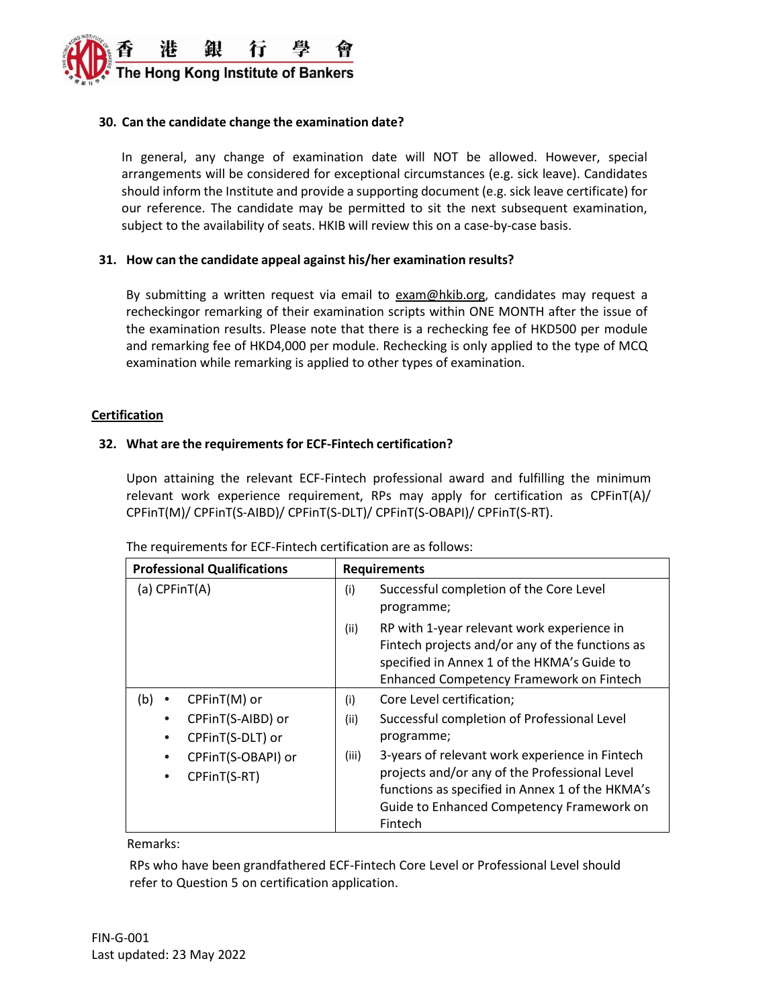

### **30. Can the candidate change the examination date?**

In general, any change of examination date will NOT be allowed. However, special arrangements will be considered for exceptional circumstances (e.g. sick leave). Candidates should inform the Institute and provide a supporting document (e.g. sick leave certificate) for our reference. The candidate may be permitted to sit the next subsequent examination, subject to the availability of seats. HKIB will review this on a case-by-case basis.

### **31. How can the candidate appeal against his/her examination results?**

By submitting a written request via email to [exam@hkib.org,](mailto:exam@hkib.org) candidates may request a recheckingor remarking of their examination scripts within ONE MONTH after the issue of the examination results. Please note that there is a rechecking fee of HKD500 per module and remarking fee of HKD4,000 per module. Rechecking is only applied to the type of MCQ examination while remarking is applied to other types of examination.

#### **Certification**

### **32. What are the requirements for ECF-Fintech certification?**

Upon attaining the relevant ECF-Fintech professional award and fulfilling the minimum relevant work experience requirement, RPs may apply for certification as CPFinT(A)/ CPFinT(M)/ CPFinT(S-AIBD)/ CPFinT(S-DLT)/ CPFinT(S-OBAPI)/ CPFinT(S-RT).

| <b>Professional Qualifications</b> | <b>Requirements</b> |                                                                                                                                                                                          |  |
|------------------------------------|---------------------|------------------------------------------------------------------------------------------------------------------------------------------------------------------------------------------|--|
| (a) $CPFinT(A)$                    | (i)                 | Successful completion of the Core Level<br>programme;                                                                                                                                    |  |
|                                    | (ii)                | RP with 1-year relevant work experience in<br>Fintech projects and/or any of the functions as<br>specified in Annex 1 of the HKMA's Guide to<br>Enhanced Competency Framework on Fintech |  |
| $CPFinT(M)$ or<br>(b)<br>$\bullet$ | (i)                 | Core Level certification;                                                                                                                                                                |  |
| CPFinT(S-AIBD) or<br>٠             | (ii)                | Successful completion of Professional Level                                                                                                                                              |  |
| CPFinT(S-DLT) or<br>$\bullet$      |                     | programme;                                                                                                                                                                               |  |
| CPFinT(S-OBAPI) or<br>$\bullet$    | (iii)               | 3-years of relevant work experience in Fintech                                                                                                                                           |  |
| CPFinT(S-RT)<br>$\bullet$          |                     | projects and/or any of the Professional Level                                                                                                                                            |  |
|                                    |                     | functions as specified in Annex 1 of the HKMA's                                                                                                                                          |  |
|                                    |                     | Guide to Enhanced Competency Framework on                                                                                                                                                |  |
|                                    |                     | Fintech                                                                                                                                                                                  |  |

#### The requirements for ECF-Fintech certification are as follows:

Remarks:

RPs who have been grandfathered ECF-Fintech Core Level or Professional Level should refer to Question 5 on certification application.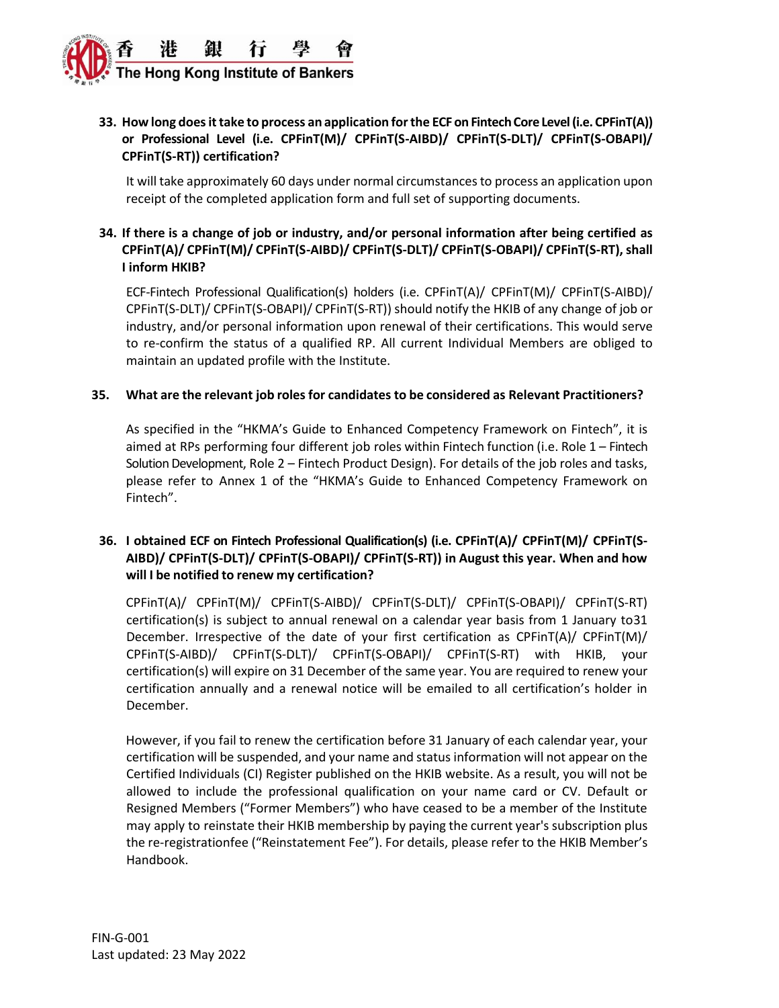

# **33. How long doesittake to process an application forthe ECF on Fintech Core Level (i.e. CPFinT(A)) or Professional Level (i.e. CPFinT(M)/ CPFinT(S-AIBD)/ CPFinT(S-DLT)/ CPFinT(S-OBAPI)/ CPFinT(S-RT)) certification?**

It will take approximately 60 days under normal circumstancesto process an application upon receipt of the completed application form and full set of supporting documents.

# **34. If there is a change of job or industry, and/or personal information after being certified as CPFinT(A)/ CPFinT(M)/ CPFinT(S-AIBD)/ CPFinT(S-DLT)/ CPFinT(S-OBAPI)/ CPFinT(S-RT),shall I inform HKIB?**

ECF-Fintech Professional Qualification(s) holders (i.e. CPFinT(A)/ CPFinT(M)/ CPFinT(S-AIBD)/ CPFinT(S-DLT)/ CPFinT(S-OBAPI)/ CPFinT(S-RT)) should notify the HKIB of any change of job or industry, and/or personal information upon renewal of their certifications. This would serve to re-confirm the status of a qualified RP. All current Individual Members are obliged to maintain an updated profile with the Institute.

### **35. What are the relevant job rolesfor candidates to be considered as Relevant Practitioners?**

As specified in the "HKMA's Guide to Enhanced Competency Framework on Fintech", it is aimed at RPs performing four different job roles within Fintech function (i.e. Role 1 – Fintech Solution Development, Role 2 – Fintech Product Design). For details of the job roles and tasks, please refer to Annex 1 of the "HKMA's Guide to Enhanced Competency Framework on Fintech".

# **36. I obtained ECF on Fintech Professional Qualification(s) (i.e. CPFinT(A)/ CPFinT(M)/ CPFinT(S-AIBD)/ CPFinT(S-DLT)/ CPFinT(S-OBAPI)/ CPFinT(S-RT)) in August this year. When and how will I be notified to renew my certification?**

CPFinT(A)/ CPFinT(M)/ CPFinT(S-AIBD)/ CPFinT(S-DLT)/ CPFinT(S-OBAPI)/ CPFinT(S-RT) certification(s) is subject to annual renewal on a calendar year basis from 1 January to31 December. Irrespective of the date of your first certification as CPFinT(A)/ CPFinT(M)/ CPFinT(S-AIBD)/ CPFinT(S-DLT)/ CPFinT(S-OBAPI)/ CPFinT(S-RT) with HKIB, your certification(s) will expire on 31 December of the same year. You are required to renew your certification annually and a renewal notice will be emailed to all certification's holder in December.

However, if you fail to renew the certification before 31 January of each calendar year, your certification will be suspended, and your name and status information will not appear on the Certified Individuals (CI) Register published on the HKIB website. As a result, you will not be allowed to include the professional qualification on your name card or CV. Default or Resigned Members ("Former Members") who have ceased to be a member of the Institute may apply to reinstate their HKIB membership by paying the current year's subscription plus the re-registrationfee ("Reinstatement Fee"). For details, please refer to the HKIB Member's Handbook.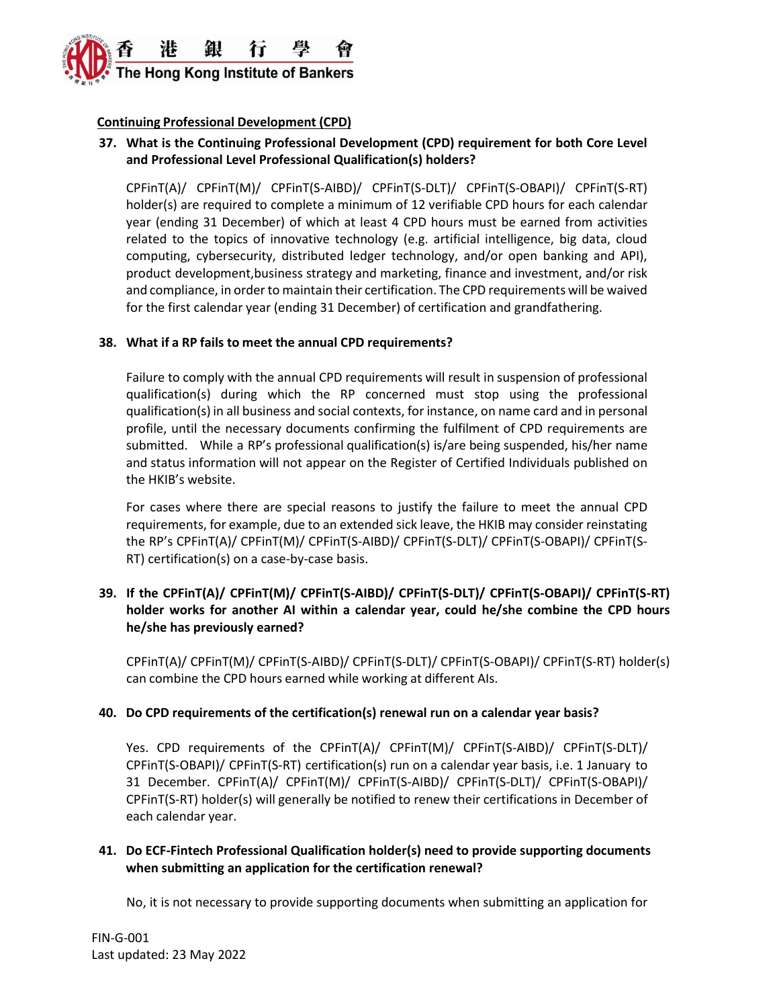

# **Continuing Professional Development (CPD)**

# **37. What is the Continuing Professional Development (CPD) requirement for both Core Level and Professional Level Professional Qualification(s) holders?**

CPFinT(A)/ CPFinT(M)/ CPFinT(S-AIBD)/ CPFinT(S-DLT)/ CPFinT(S-OBAPI)/ CPFinT(S-RT) holder(s) are required to complete a minimum of 12 verifiable CPD hours for each calendar year (ending 31 December) of which at least 4 CPD hours must be earned from activities related to the topics of innovative technology (e.g. artificial intelligence, big data, cloud computing, cybersecurity, distributed ledger technology, and/or open banking and API), product development,business strategy and marketing, finance and investment, and/or risk and compliance, in order to maintain their certification. The CPD requirements will be waived for the first calendar year (ending 31 December) of certification and grandfathering.

## **38. What if a RP fails to meet the annual CPD requirements?**

Failure to comply with the annual CPD requirements will result in suspension of professional qualification(s) during which the RP concerned must stop using the professional qualification(s) in all business and social contexts, for instance, on name card and in personal profile, until the necessary documents confirming the fulfilment of CPD requirements are submitted. While a RP's professional qualification(s) is/are being suspended, his/her name and status information will not appear on the Register of Certified Individuals published on the HKIB's website.

For cases where there are special reasons to justify the failure to meet the annual CPD requirements, for example, due to an extended sick leave, the HKIB may consider reinstating the RP's CPFinT(A)/ CPFinT(M)/ CPFinT(S-AIBD)/ CPFinT(S-DLT)/ CPFinT(S-OBAPI)/ CPFinT(S-RT) certification(s) on a case-by-case basis.

# **39. If the CPFinT(A)/ CPFinT(M)/ CPFinT(S-AIBD)/ CPFinT(S-DLT)/ CPFinT(S-OBAPI)/ CPFinT(S-RT) holder works for another AI within a calendar year, could he/she combine the CPD hours he/she has previously earned?**

CPFinT(A)/ CPFinT(M)/ CPFinT(S-AIBD)/ CPFinT(S-DLT)/ CPFinT(S-OBAPI)/ CPFinT(S-RT) holder(s) can combine the CPD hours earned while working at different AIs.

### **40. Do CPD requirements of the certification(s) renewal run on a calendar year basis?**

Yes. CPD requirements of the CPFinT(A)/ CPFinT(M)/ CPFinT(S-AIBD)/ CPFinT(S-DLT)/ CPFinT(S-OBAPI)/ CPFinT(S-RT) certification(s) run on a calendar year basis, i.e. 1 January to 31 December. CPFinT(A)/ CPFinT(M)/ CPFinT(S-AIBD)/ CPFinT(S-DLT)/ CPFinT(S-OBAPI)/ CPFinT(S-RT) holder(s) will generally be notified to renew their certifications in December of each calendar year.

## **41. Do ECF-Fintech Professional Qualification holder(s) need to provide supporting documents when submitting an application for the certification renewal?**

No, it is not necessary to provide supporting documents when submitting an application for